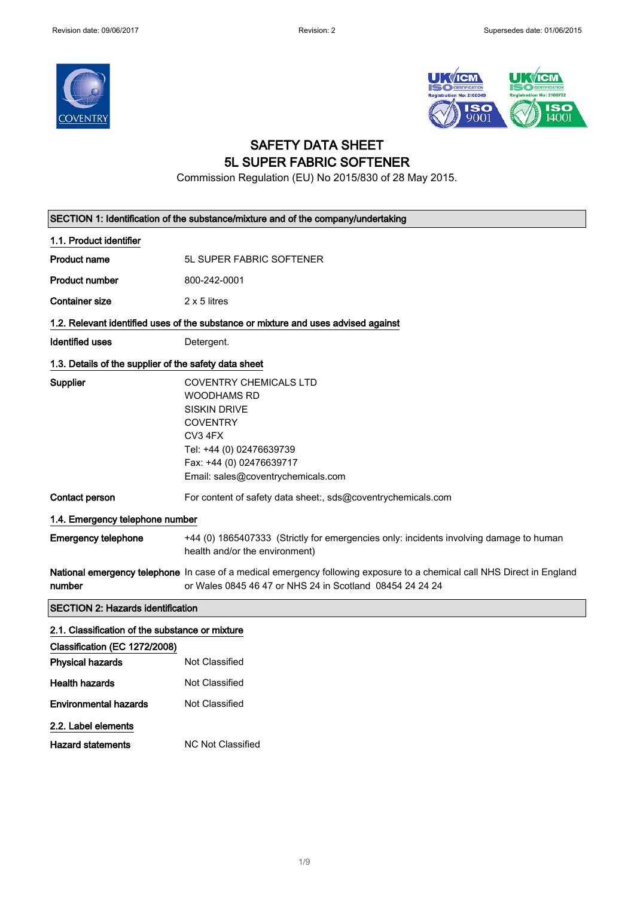



### SAFETY DATA SHEET 5L SUPER FABRIC SOFTENER

Commission Regulation (EU) No 2015/830 of 28 May 2015.

| SECTION 1: Identification of the substance/mixture and of the company/undertaking |                                                                                                                                                                                                        |
|-----------------------------------------------------------------------------------|--------------------------------------------------------------------------------------------------------------------------------------------------------------------------------------------------------|
| 1.1. Product identifier                                                           |                                                                                                                                                                                                        |
| <b>Product name</b>                                                               | <b>5L SUPER FABRIC SOFTENER</b>                                                                                                                                                                        |
| <b>Product number</b>                                                             | 800-242-0001                                                                                                                                                                                           |
| <b>Container size</b>                                                             | $2 \times 5$ litres                                                                                                                                                                                    |
|                                                                                   | 1.2. Relevant identified uses of the substance or mixture and uses advised against                                                                                                                     |
| <b>Identified uses</b>                                                            | Detergent.                                                                                                                                                                                             |
| 1.3. Details of the supplier of the safety data sheet                             |                                                                                                                                                                                                        |
| Supplier                                                                          | <b>COVENTRY CHEMICALS LTD</b><br><b>WOODHAMS RD</b><br><b>SISKIN DRIVE</b><br><b>COVENTRY</b><br>CV3 4FX<br>Tel: +44 (0) 02476639739<br>Fax: +44 (0) 02476639717<br>Email: sales@coventrychemicals.com |
| Contact person                                                                    | For content of safety data sheet:, sds@coventrychemicals.com                                                                                                                                           |
| 1.4. Emergency telephone number                                                   |                                                                                                                                                                                                        |
| <b>Emergency telephone</b>                                                        | +44 (0) 1865407333 (Strictly for emergencies only: incidents involving damage to human<br>health and/or the environment)                                                                               |
| number                                                                            | National emergency telephone In case of a medical emergency following exposure to a chemical call NHS Direct in England<br>or Wales 0845 46 47 or NHS 24 in Scotland 08454 24 24 24                    |
| <b>SECTION 2: Hazards identification</b>                                          |                                                                                                                                                                                                        |
| 2.1. Classification of the substance or mixture                                   |                                                                                                                                                                                                        |
| Classification (EC 1272/2008)                                                     |                                                                                                                                                                                                        |
| <b>Physical hazards</b>                                                           | Not Classified                                                                                                                                                                                         |
| <b>Health hazards</b>                                                             | <b>Not Classified</b>                                                                                                                                                                                  |
| <b>Environmental hazards</b>                                                      | Not Classified                                                                                                                                                                                         |
| 2.2. Label elements                                                               |                                                                                                                                                                                                        |
| <b>Hazard statements</b>                                                          | <b>NC Not Classified</b>                                                                                                                                                                               |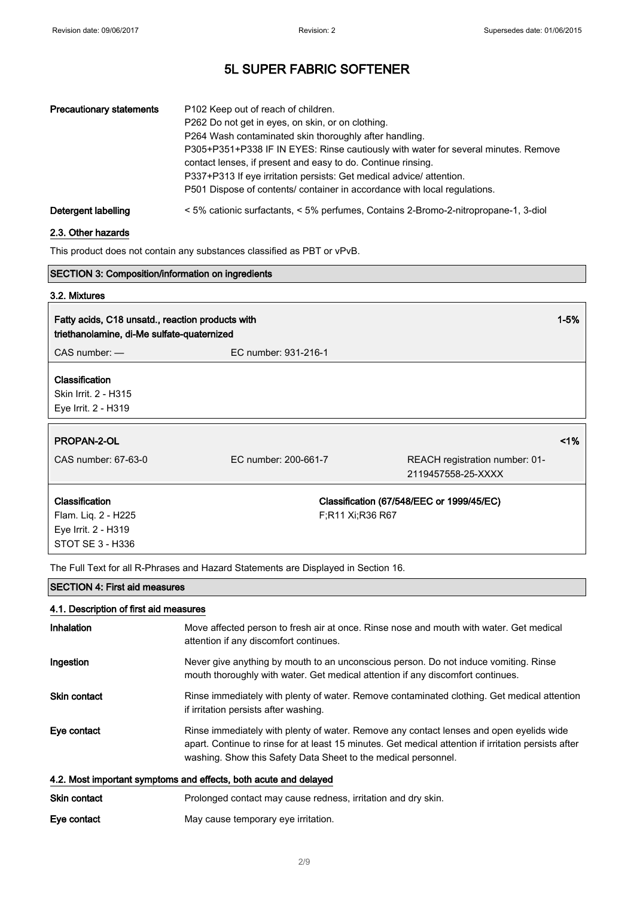| <b>Precautionary statements</b> | P <sub>102</sub> Keep out of reach of children.<br>P262 Do not get in eyes, on skin, or on clothing.<br>P264 Wash contaminated skin thoroughly after handling.<br>P305+P351+P338 IF IN EYES: Rinse cautiously with water for several minutes. Remove<br>contact lenses, if present and easy to do. Continue rinsing.<br>P337+P313 If eye irritation persists: Get medical advice/attention.<br>P501 Dispose of contents/ container in accordance with local regulations. |
|---------------------------------|--------------------------------------------------------------------------------------------------------------------------------------------------------------------------------------------------------------------------------------------------------------------------------------------------------------------------------------------------------------------------------------------------------------------------------------------------------------------------|
| Detergent labelling             | < 5% cationic surfactants, < 5% perfumes, Contains 2-Bromo-2-nitropropane-1, 3-diol                                                                                                                                                                                                                                                                                                                                                                                      |

#### 2.3. Other hazards

This product does not contain any substances classified as PBT or vPvB.

| <b>SECTION 3: Composition/information on ingredients</b>                                       |                      |                                                      |          |
|------------------------------------------------------------------------------------------------|----------------------|------------------------------------------------------|----------|
| 3.2. Mixtures                                                                                  |                      |                                                      |          |
| Fatty acids, C18 unsatd., reaction products with<br>triethanolamine, di-Me sulfate-quaternized |                      |                                                      | $1 - 5%$ |
| $CAS$ number: $-$                                                                              | EC number: 931-216-1 |                                                      |          |
| <b>Classification</b><br>Skin Irrit. 2 - H315<br>Eye Irrit. 2 - H319                           |                      |                                                      |          |
| PROPAN-2-OL                                                                                    |                      |                                                      | 1%       |
| CAS number: 67-63-0                                                                            | EC number: 200-661-7 | REACH registration number: 01-<br>2119457558-25-XXXX |          |
| <b>Classification</b><br>Flam. Liq. 2 - H225<br>Eye Irrit. 2 - H319<br>STOT SE 3 - H336        | F;R11 Xi;R36 R67     | Classification (67/548/EEC or 1999/45/EC)            |          |

The Full Text for all R-Phrases and Hazard Statements are Displayed in Section 16.

#### SECTION 4: First aid measures

#### 4.1. Description of first aid measures

| Inhalation                                                       | Move affected person to fresh air at once. Rinse nose and mouth with water. Get medical<br>attention if any discomfort continues.                                                                                                                                 |
|------------------------------------------------------------------|-------------------------------------------------------------------------------------------------------------------------------------------------------------------------------------------------------------------------------------------------------------------|
| Ingestion                                                        | Never give anything by mouth to an unconscious person. Do not induce vomiting. Rinse<br>mouth thoroughly with water. Get medical attention if any discomfort continues.                                                                                           |
| <b>Skin contact</b>                                              | Rinse immediately with plenty of water. Remove contaminated clothing. Get medical attention<br>if irritation persists after washing.                                                                                                                              |
| Eye contact                                                      | Rinse immediately with plenty of water. Remove any contact lenses and open eyelids wide<br>apart. Continue to rinse for at least 15 minutes. Get medical attention if irritation persists after<br>washing. Show this Safety Data Sheet to the medical personnel. |
| 4.2. Most important symptoms and effects, both acute and delayed |                                                                                                                                                                                                                                                                   |
| <b>Skin contact</b>                                              | Prolonged contact may cause redness, irritation and dry skin.                                                                                                                                                                                                     |

Eye contact May cause temporary eye irritation.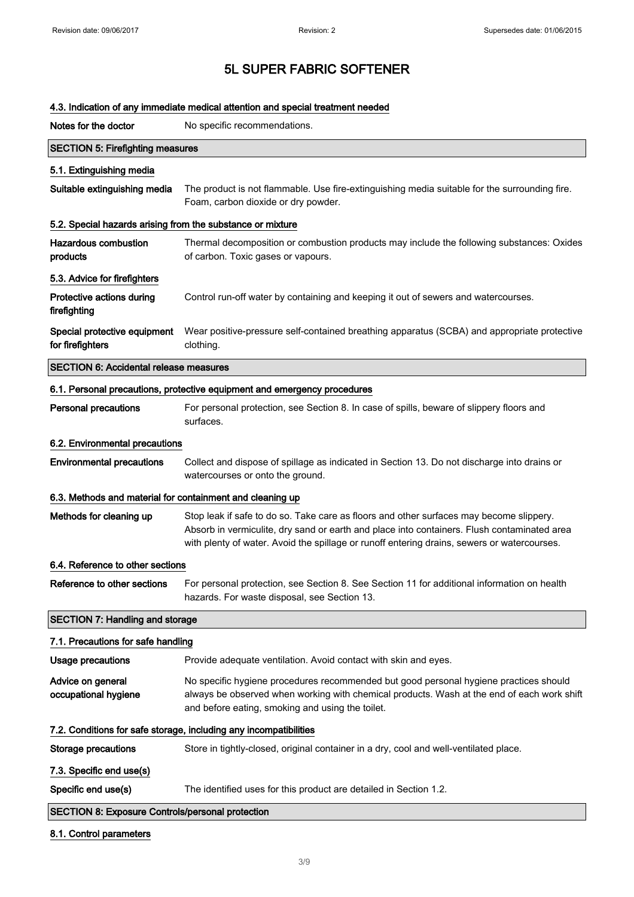| 4.3. Indication of any immediate medical attention and special treatment needed |                                                                                                                                                                                                                                                                                       |  |
|---------------------------------------------------------------------------------|---------------------------------------------------------------------------------------------------------------------------------------------------------------------------------------------------------------------------------------------------------------------------------------|--|
| Notes for the doctor                                                            | No specific recommendations.                                                                                                                                                                                                                                                          |  |
| <b>SECTION 5: Firefighting measures</b>                                         |                                                                                                                                                                                                                                                                                       |  |
| 5.1. Extinguishing media                                                        |                                                                                                                                                                                                                                                                                       |  |
| Suitable extinguishing media                                                    | The product is not flammable. Use fire-extinguishing media suitable for the surrounding fire.<br>Foam, carbon dioxide or dry powder.                                                                                                                                                  |  |
| 5.2. Special hazards arising from the substance or mixture                      |                                                                                                                                                                                                                                                                                       |  |
| <b>Hazardous combustion</b><br>products                                         | Thermal decomposition or combustion products may include the following substances: Oxides<br>of carbon. Toxic gases or vapours.                                                                                                                                                       |  |
| 5.3. Advice for firefighters                                                    |                                                                                                                                                                                                                                                                                       |  |
| Protective actions during<br>firefighting                                       | Control run-off water by containing and keeping it out of sewers and watercourses.                                                                                                                                                                                                    |  |
| Special protective equipment<br>for firefighters                                | Wear positive-pressure self-contained breathing apparatus (SCBA) and appropriate protective<br>clothing.                                                                                                                                                                              |  |
| <b>SECTION 6: Accidental release measures</b>                                   |                                                                                                                                                                                                                                                                                       |  |
|                                                                                 | 6.1. Personal precautions, protective equipment and emergency procedures                                                                                                                                                                                                              |  |
| <b>Personal precautions</b>                                                     | For personal protection, see Section 8. In case of spills, beware of slippery floors and<br>surfaces.                                                                                                                                                                                 |  |
| 6.2. Environmental precautions                                                  |                                                                                                                                                                                                                                                                                       |  |
| <b>Environmental precautions</b>                                                | Collect and dispose of spillage as indicated in Section 13. Do not discharge into drains or<br>watercourses or onto the ground.                                                                                                                                                       |  |
| 6.3. Methods and material for containment and cleaning up                       |                                                                                                                                                                                                                                                                                       |  |
| Methods for cleaning up                                                         | Stop leak if safe to do so. Take care as floors and other surfaces may become slippery.<br>Absorb in vermiculite, dry sand or earth and place into containers. Flush contaminated area<br>with plenty of water. Avoid the spillage or runoff entering drains, sewers or watercourses. |  |
| 6.4. Reference to other sections                                                |                                                                                                                                                                                                                                                                                       |  |
| Reference to other sections                                                     | For personal protection, see Section 8. See Section 11 for additional information on health<br>hazards. For waste disposal, see Section 13.                                                                                                                                           |  |
| <b>SECTION 7: Handling and storage</b>                                          |                                                                                                                                                                                                                                                                                       |  |
| 7.1. Precautions for safe handling                                              |                                                                                                                                                                                                                                                                                       |  |
| <b>Usage precautions</b>                                                        | Provide adequate ventilation. Avoid contact with skin and eyes.                                                                                                                                                                                                                       |  |
| Advice on general<br>occupational hygiene                                       | No specific hygiene procedures recommended but good personal hygiene practices should<br>always be observed when working with chemical products. Wash at the end of each work shift<br>and before eating, smoking and using the toilet.                                               |  |
|                                                                                 | 7.2. Conditions for safe storage, including any incompatibilities                                                                                                                                                                                                                     |  |
| <b>Storage precautions</b>                                                      | Store in tightly-closed, original container in a dry, cool and well-ventilated place.                                                                                                                                                                                                 |  |
| 7.3. Specific end use(s)                                                        |                                                                                                                                                                                                                                                                                       |  |
| Specific end use(s)                                                             | The identified uses for this product are detailed in Section 1.2.                                                                                                                                                                                                                     |  |
| <b>SECTION 8: Exposure Controls/personal protection</b>                         |                                                                                                                                                                                                                                                                                       |  |

### 8.1. Control parameters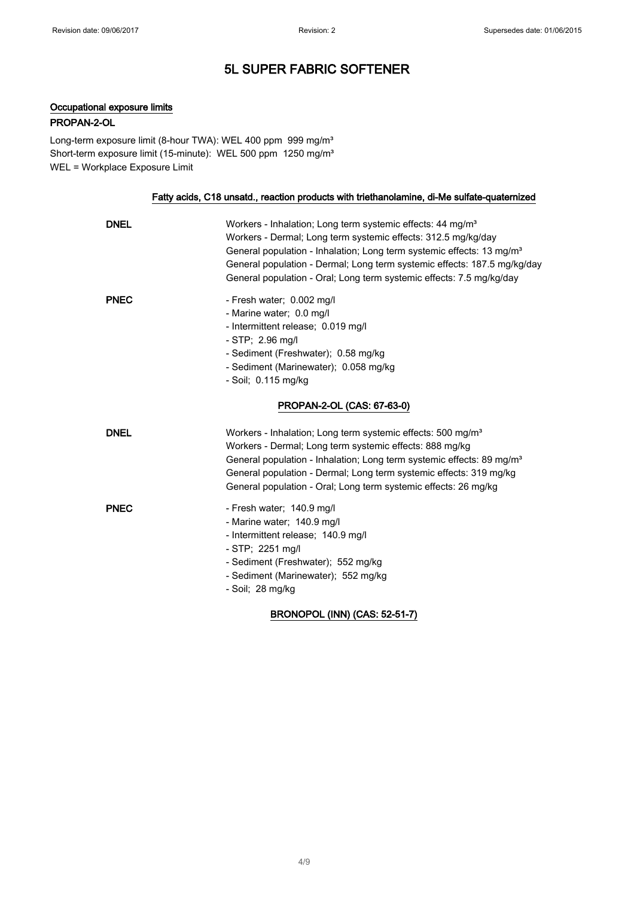### Occupational exposure limits

#### PROPAN-2-OL

Long-term exposure limit (8-hour TWA): WEL 400 ppm 999 mg/m<sup>3</sup> Short-term exposure limit (15-minute): WEL 500 ppm 1250 mg/m<sup>3</sup> WEL = Workplace Exposure Limit

#### Fatty acids, C18 unsatd., reaction products with triethanolamine, di-Me sulfate-quaternized

| <b>DNEL</b> | Workers - Inhalation; Long term systemic effects: 44 mg/m <sup>3</sup><br>Workers - Dermal; Long term systemic effects: 312.5 mg/kg/day<br>General population - Inhalation; Long term systemic effects: 13 mg/m <sup>3</sup><br>General population - Dermal; Long term systemic effects: 187.5 mg/kg/day<br>General population - Oral; Long term systemic effects: 7.5 mg/kg/day |
|-------------|----------------------------------------------------------------------------------------------------------------------------------------------------------------------------------------------------------------------------------------------------------------------------------------------------------------------------------------------------------------------------------|
| <b>PNEC</b> | - Fresh water; 0.002 mg/l<br>- Marine water; 0.0 mg/l<br>- Intermittent release; 0.019 mg/l<br>$-$ STP; 2.96 mg/l<br>- Sediment (Freshwater); 0.58 mg/kg<br>- Sediment (Marinewater); 0.058 mg/kg<br>- Soil; 0.115 mg/kg<br>PROPAN-2-OL (CAS: 67-63-0)                                                                                                                           |
| <b>DNEL</b> | Workers - Inhalation; Long term systemic effects: 500 mg/m <sup>3</sup><br>Workers - Dermal; Long term systemic effects: 888 mg/kg<br>General population - Inhalation; Long term systemic effects: 89 mg/m <sup>3</sup><br>General population - Dermal; Long term systemic effects: 319 mg/kg<br>General population - Oral; Long term systemic effects: 26 mg/kg                 |
| <b>PNEC</b> | - Fresh water; 140.9 mg/l<br>- Marine water; 140.9 mg/l<br>- Intermittent release; 140.9 mg/l<br>- STP; 2251 mg/l<br>- Sediment (Freshwater); 552 mg/kg<br>- Sediment (Marinewater); 552 mg/kg<br>- Soil; 28 mg/kg                                                                                                                                                               |

### BRONOPOL (INN) (CAS: 52-51-7)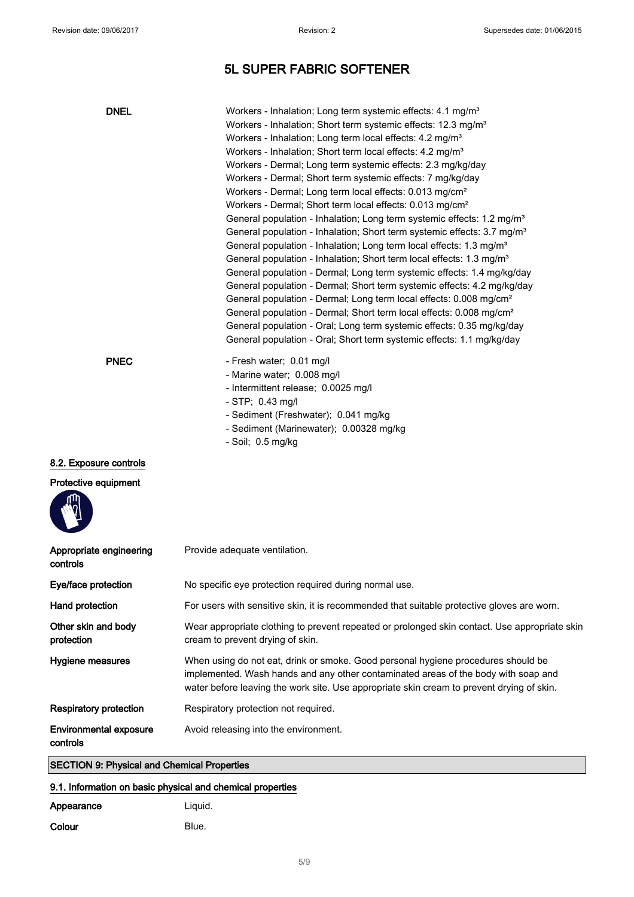| <b>DNEL</b>                                        | Workers - Inhalation; Long term systemic effects: 4.1 mg/m <sup>3</sup><br>Workers - Inhalation; Short term systemic effects: 12.3 mg/m <sup>3</sup><br>Workers - Inhalation; Long term local effects: 4.2 mg/m <sup>3</sup><br>Workers - Inhalation; Short term local effects: 4.2 mg/m <sup>3</sup><br>Workers - Dermal; Long term systemic effects: 2.3 mg/kg/day<br>Workers - Dermal; Short term systemic effects: 7 mg/kg/day<br>Workers - Dermal; Long term local effects: 0.013 mg/cm <sup>2</sup><br>Workers - Dermal; Short term local effects: 0.013 mg/cm <sup>2</sup><br>General population - Inhalation; Long term systemic effects: 1.2 mg/m <sup>3</sup><br>General population - Inhalation; Short term systemic effects: 3.7 mg/m <sup>3</sup><br>General population - Inhalation; Long term local effects: 1.3 mg/m <sup>3</sup><br>General population - Inhalation; Short term local effects: 1.3 mg/m <sup>3</sup><br>General population - Dermal; Long term systemic effects: 1.4 mg/kg/day<br>General population - Dermal; Short term systemic effects: 4.2 mg/kg/day<br>General population - Dermal; Long term local effects: 0.008 mg/cm <sup>2</sup><br>General population - Dermal; Short term local effects: 0.008 mg/cm <sup>2</sup><br>General population - Oral; Long term systemic effects: 0.35 mg/kg/day<br>General population - Oral; Short term systemic effects: 1.1 mg/kg/day |
|----------------------------------------------------|-------------------------------------------------------------------------------------------------------------------------------------------------------------------------------------------------------------------------------------------------------------------------------------------------------------------------------------------------------------------------------------------------------------------------------------------------------------------------------------------------------------------------------------------------------------------------------------------------------------------------------------------------------------------------------------------------------------------------------------------------------------------------------------------------------------------------------------------------------------------------------------------------------------------------------------------------------------------------------------------------------------------------------------------------------------------------------------------------------------------------------------------------------------------------------------------------------------------------------------------------------------------------------------------------------------------------------------------------------------------------------------------------------------------|
| <b>PNEC</b>                                        | - Fresh water; 0.01 mg/l<br>- Marine water; 0.008 mg/l<br>- Intermittent release; 0.0025 mg/l<br>- STP; 0.43 mg/l<br>- Sediment (Freshwater); 0.041 mg/kg<br>- Sediment (Marinewater); 0.00328 mg/kg<br>- Soil; 0.5 mg/kg                                                                                                                                                                                                                                                                                                                                                                                                                                                                                                                                                                                                                                                                                                                                                                                                                                                                                                                                                                                                                                                                                                                                                                                         |
| 8.2. Exposure controls<br>Protective equipment     |                                                                                                                                                                                                                                                                                                                                                                                                                                                                                                                                                                                                                                                                                                                                                                                                                                                                                                                                                                                                                                                                                                                                                                                                                                                                                                                                                                                                                   |
| Appropriate engineering<br>controls                | Provide adequate ventilation.                                                                                                                                                                                                                                                                                                                                                                                                                                                                                                                                                                                                                                                                                                                                                                                                                                                                                                                                                                                                                                                                                                                                                                                                                                                                                                                                                                                     |
| Eye/face protection                                | No specific eye protection required during normal use.                                                                                                                                                                                                                                                                                                                                                                                                                                                                                                                                                                                                                                                                                                                                                                                                                                                                                                                                                                                                                                                                                                                                                                                                                                                                                                                                                            |
| <b>Hand protection</b>                             | For users with sensitive skin, it is recommended that suitable protective gloves are worn.                                                                                                                                                                                                                                                                                                                                                                                                                                                                                                                                                                                                                                                                                                                                                                                                                                                                                                                                                                                                                                                                                                                                                                                                                                                                                                                        |
| Other skin and body<br>protection                  | Wear appropriate clothing to prevent repeated or prolonged skin contact. Use appropriate skin<br>cream to prevent drying of skin.                                                                                                                                                                                                                                                                                                                                                                                                                                                                                                                                                                                                                                                                                                                                                                                                                                                                                                                                                                                                                                                                                                                                                                                                                                                                                 |
| Hygiene measures                                   | When using do not eat, drink or smoke. Good personal hygiene procedures should be<br>implemented. Wash hands and any other contaminated areas of the body with soap and<br>water before leaving the work site. Use appropriate skin cream to prevent drying of skin.                                                                                                                                                                                                                                                                                                                                                                                                                                                                                                                                                                                                                                                                                                                                                                                                                                                                                                                                                                                                                                                                                                                                              |
| <b>Respiratory protection</b>                      | Respiratory protection not required.                                                                                                                                                                                                                                                                                                                                                                                                                                                                                                                                                                                                                                                                                                                                                                                                                                                                                                                                                                                                                                                                                                                                                                                                                                                                                                                                                                              |
| <b>Environmental exposure</b><br>controls          | Avoid releasing into the environment.                                                                                                                                                                                                                                                                                                                                                                                                                                                                                                                                                                                                                                                                                                                                                                                                                                                                                                                                                                                                                                                                                                                                                                                                                                                                                                                                                                             |
| <b>SECTION 9: Physical and Chemical Properties</b> |                                                                                                                                                                                                                                                                                                                                                                                                                                                                                                                                                                                                                                                                                                                                                                                                                                                                                                                                                                                                                                                                                                                                                                                                                                                                                                                                                                                                                   |

### 9.1. Information on basic physical and chemical properties

| Appearance | Liguid. |
|------------|---------|
| Colour     | Blue.   |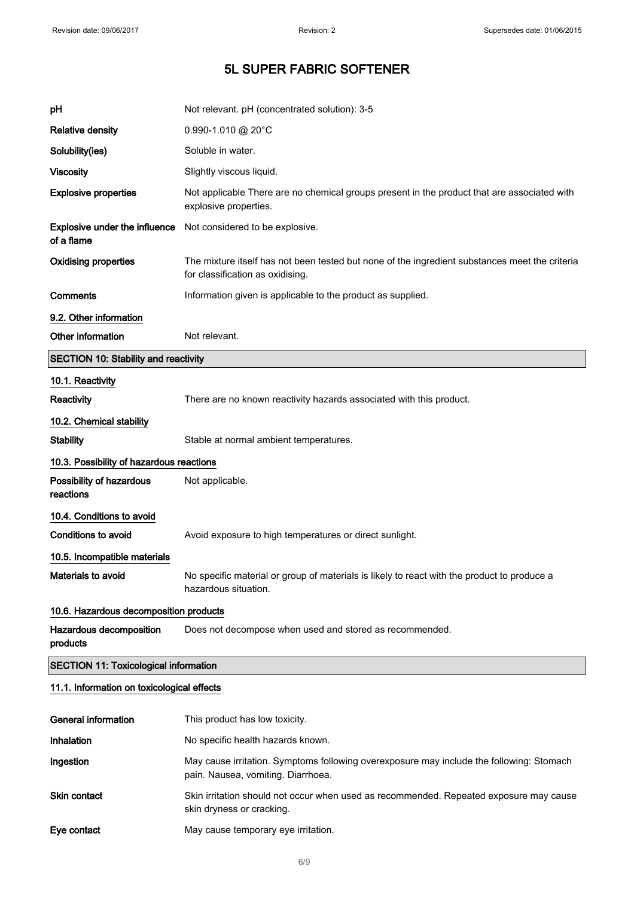| рH                                           | Not relevant. pH (concentrated solution): 3-5                                                                                      |  |
|----------------------------------------------|------------------------------------------------------------------------------------------------------------------------------------|--|
| <b>Relative density</b>                      | 0.990-1.010 @ 20°C                                                                                                                 |  |
| Solubility(ies)                              | Soluble in water.                                                                                                                  |  |
| <b>Viscosity</b>                             | Slightly viscous liquid.                                                                                                           |  |
| <b>Explosive properties</b>                  | Not applicable There are no chemical groups present in the product that are associated with<br>explosive properties.               |  |
| Explosive under the influence<br>of a flame  | Not considered to be explosive.                                                                                                    |  |
| <b>Oxidising properties</b>                  | The mixture itself has not been tested but none of the ingredient substances meet the criteria<br>for classification as oxidising. |  |
| Comments                                     | Information given is applicable to the product as supplied.                                                                        |  |
| 9.2. Other information                       |                                                                                                                                    |  |
| Other information                            | Not relevant.                                                                                                                      |  |
| <b>SECTION 10: Stability and reactivity</b>  |                                                                                                                                    |  |
| 10.1. Reactivity                             |                                                                                                                                    |  |
| Reactivity                                   | There are no known reactivity hazards associated with this product.                                                                |  |
| 10.2. Chemical stability                     |                                                                                                                                    |  |
| <b>Stability</b>                             | Stable at normal ambient temperatures.                                                                                             |  |
| 10.3. Possibility of hazardous reactions     |                                                                                                                                    |  |
| Possibility of hazardous<br>reactions        | Not applicable.                                                                                                                    |  |
| 10.4. Conditions to avoid                    |                                                                                                                                    |  |
| <b>Conditions to avoid</b>                   | Avoid exposure to high temperatures or direct sunlight.                                                                            |  |
| 10.5. Incompatible materials                 |                                                                                                                                    |  |
| <b>Materials to avoid</b>                    | No specific material or group of materials is likely to react with the product to produce a<br>hazardous situation.                |  |
| 10.6. Hazardous decomposition products       |                                                                                                                                    |  |
| Hazardous decomposition<br>products          | Does not decompose when used and stored as recommended.                                                                            |  |
| <b>SECTION 11: Toxicological information</b> |                                                                                                                                    |  |
| 11.1. Information on toxicological effects   |                                                                                                                                    |  |
| <b>General information</b>                   | This product has low toxicity.                                                                                                     |  |
| Inhalation                                   | No specific health hazards known.                                                                                                  |  |
| Ingestion                                    | May cause irritation. Symptoms following overexposure may include the following: Stomach                                           |  |

Skin contact Skin irritation should not occur when used as recommended. Repeated exposure may cause

pain. Nausea, vomiting. Diarrhoea.

skin dryness or cracking.

Eye contact May cause temporary eye irritation.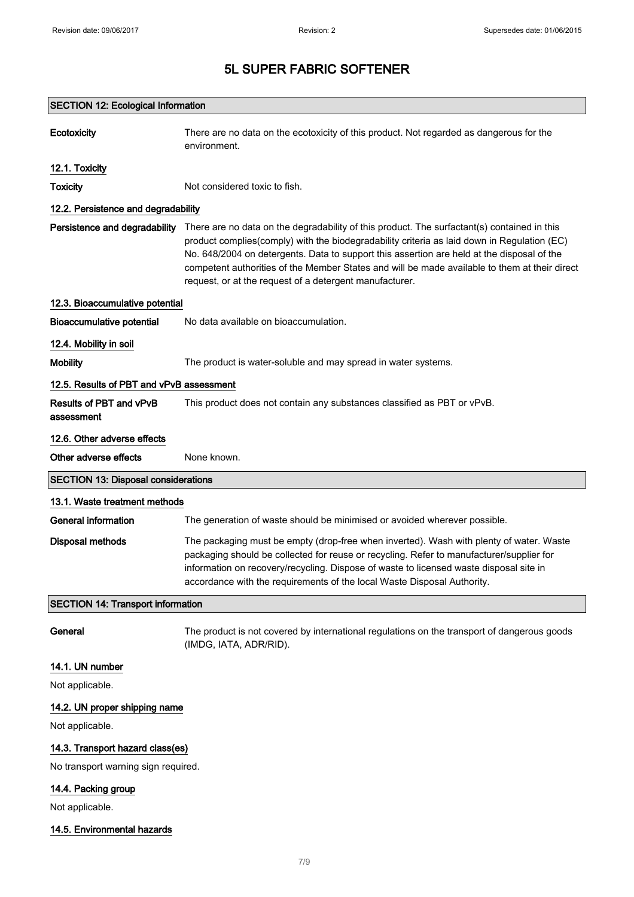| <b>SECTION 12: Ecological Information</b>  |                                                                                                                                                                                                                                                                                                                                                                                                                                                      |  |
|--------------------------------------------|------------------------------------------------------------------------------------------------------------------------------------------------------------------------------------------------------------------------------------------------------------------------------------------------------------------------------------------------------------------------------------------------------------------------------------------------------|--|
| Ecotoxicity                                | There are no data on the ecotoxicity of this product. Not regarded as dangerous for the<br>environment.                                                                                                                                                                                                                                                                                                                                              |  |
| 12.1. Toxicity                             |                                                                                                                                                                                                                                                                                                                                                                                                                                                      |  |
| <b>Toxicity</b>                            | Not considered toxic to fish.                                                                                                                                                                                                                                                                                                                                                                                                                        |  |
| 12.2. Persistence and degradability        |                                                                                                                                                                                                                                                                                                                                                                                                                                                      |  |
| Persistence and degradability              | There are no data on the degradability of this product. The surfactant(s) contained in this<br>product complies(comply) with the biodegradability criteria as laid down in Regulation (EC)<br>No. 648/2004 on detergents. Data to support this assertion are held at the disposal of the<br>competent authorities of the Member States and will be made available to them at their direct<br>request, or at the request of a detergent manufacturer. |  |
| 12.3. Bioaccumulative potential            |                                                                                                                                                                                                                                                                                                                                                                                                                                                      |  |
| <b>Bioaccumulative potential</b>           | No data available on bioaccumulation.                                                                                                                                                                                                                                                                                                                                                                                                                |  |
| 12.4. Mobility in soil                     |                                                                                                                                                                                                                                                                                                                                                                                                                                                      |  |
| <b>Mobility</b>                            | The product is water-soluble and may spread in water systems.                                                                                                                                                                                                                                                                                                                                                                                        |  |
| 12.5. Results of PBT and vPvB assessment   |                                                                                                                                                                                                                                                                                                                                                                                                                                                      |  |
| Results of PBT and vPvB<br>assessment      | This product does not contain any substances classified as PBT or vPvB.                                                                                                                                                                                                                                                                                                                                                                              |  |
| 12.6. Other adverse effects                |                                                                                                                                                                                                                                                                                                                                                                                                                                                      |  |
| Other adverse effects                      | None known.                                                                                                                                                                                                                                                                                                                                                                                                                                          |  |
| <b>SECTION 13: Disposal considerations</b> |                                                                                                                                                                                                                                                                                                                                                                                                                                                      |  |
|                                            |                                                                                                                                                                                                                                                                                                                                                                                                                                                      |  |
| 13.1. Waste treatment methods              |                                                                                                                                                                                                                                                                                                                                                                                                                                                      |  |
| General information                        | The generation of waste should be minimised or avoided wherever possible.                                                                                                                                                                                                                                                                                                                                                                            |  |
| <b>Disposal methods</b>                    | The packaging must be empty (drop-free when inverted). Wash with plenty of water. Waste<br>packaging should be collected for reuse or recycling. Refer to manufacturer/supplier for<br>information on recovery/recycling. Dispose of waste to licensed waste disposal site in<br>accordance with the requirements of the local Waste Disposal Authority.                                                                                             |  |
| <b>SECTION 14: Transport information</b>   |                                                                                                                                                                                                                                                                                                                                                                                                                                                      |  |
| General                                    | The product is not covered by international regulations on the transport of dangerous goods<br>(IMDG, IATA, ADR/RID).                                                                                                                                                                                                                                                                                                                                |  |
| 14.1. UN number                            |                                                                                                                                                                                                                                                                                                                                                                                                                                                      |  |
| Not applicable.                            |                                                                                                                                                                                                                                                                                                                                                                                                                                                      |  |
| 14.2. UN proper shipping name              |                                                                                                                                                                                                                                                                                                                                                                                                                                                      |  |
| Not applicable.                            |                                                                                                                                                                                                                                                                                                                                                                                                                                                      |  |
| 14.3. Transport hazard class(es)           |                                                                                                                                                                                                                                                                                                                                                                                                                                                      |  |
| No transport warning sign required.        |                                                                                                                                                                                                                                                                                                                                                                                                                                                      |  |
| 14.4. Packing group                        |                                                                                                                                                                                                                                                                                                                                                                                                                                                      |  |
| Not applicable.                            |                                                                                                                                                                                                                                                                                                                                                                                                                                                      |  |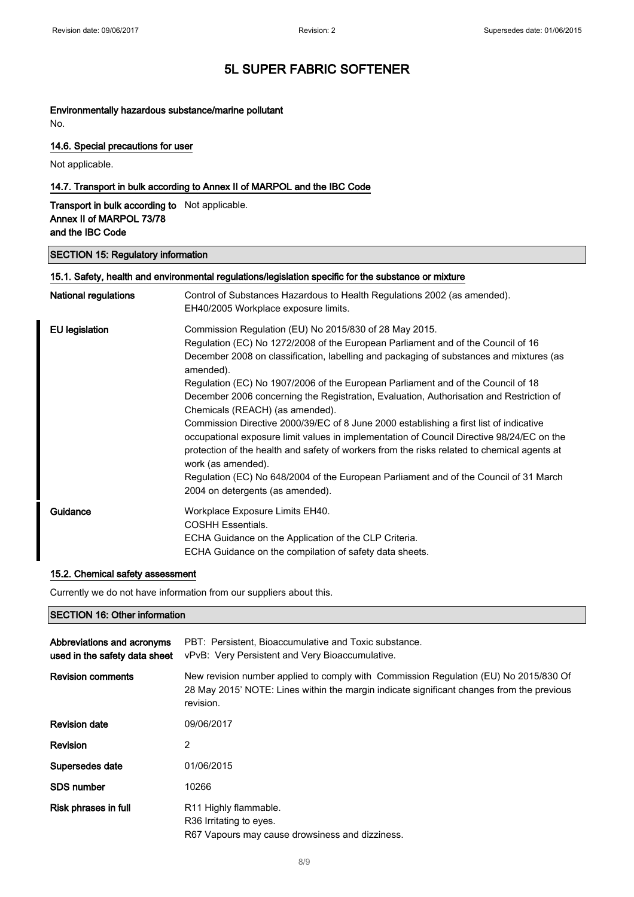### Environmentally hazardous substance/marine pollutant

No.

### 14.6. Special precautions for user

Not applicable.

### 14.7. Transport in bulk according to Annex II of MARPOL and the IBC Code

Transport in bulk according to Not applicable. Annex II of MARPOL 73/78 and the IBC Code

#### SECTION 15: Regulatory information

| 15.1. Safety, health and environmental regulations/legislation specific for the substance or mixture |                                                                                                                                                                                                                                                                                                                                                                                                                                                                                                                                                                                                                                                                                                                                                                                                                                                                                                               |
|------------------------------------------------------------------------------------------------------|---------------------------------------------------------------------------------------------------------------------------------------------------------------------------------------------------------------------------------------------------------------------------------------------------------------------------------------------------------------------------------------------------------------------------------------------------------------------------------------------------------------------------------------------------------------------------------------------------------------------------------------------------------------------------------------------------------------------------------------------------------------------------------------------------------------------------------------------------------------------------------------------------------------|
| <b>National regulations</b>                                                                          | Control of Substances Hazardous to Health Regulations 2002 (as amended).<br>EH40/2005 Workplace exposure limits.                                                                                                                                                                                                                                                                                                                                                                                                                                                                                                                                                                                                                                                                                                                                                                                              |
| <b>EU</b> legislation                                                                                | Commission Regulation (EU) No 2015/830 of 28 May 2015.<br>Regulation (EC) No 1272/2008 of the European Parliament and of the Council of 16<br>December 2008 on classification, labelling and packaging of substances and mixtures (as<br>amended).<br>Regulation (EC) No 1907/2006 of the European Parliament and of the Council of 18<br>December 2006 concerning the Registration, Evaluation, Authorisation and Restriction of<br>Chemicals (REACH) (as amended).<br>Commission Directive 2000/39/EC of 8 June 2000 establishing a first list of indicative<br>occupational exposure limit values in implementation of Council Directive 98/24/EC on the<br>protection of the health and safety of workers from the risks related to chemical agents at<br>work (as amended).<br>Regulation (EC) No 648/2004 of the European Parliament and of the Council of 31 March<br>2004 on detergents (as amended). |
| Guidance                                                                                             | Workplace Exposure Limits EH40.<br><b>COSHH Essentials.</b><br>ECHA Guidance on the Application of the CLP Criteria.<br>ECHA Guidance on the compilation of safety data sheets.                                                                                                                                                                                                                                                                                                                                                                                                                                                                                                                                                                                                                                                                                                                               |

#### 15.2. Chemical safety assessment

Currently we do not have information from our suppliers about this.

### SECTION 16: Other information

| Abbreviations and acronyms<br>used in the safety data sheet | PBT: Persistent, Bioaccumulative and Toxic substance.<br>vPvB: Very Persistent and Very Bioaccumulative.                                                                                       |
|-------------------------------------------------------------|------------------------------------------------------------------------------------------------------------------------------------------------------------------------------------------------|
| <b>Revision comments</b>                                    | New revision number applied to comply with Commission Regulation (EU) No 2015/830 Of<br>28 May 2015' NOTE: Lines within the margin indicate significant changes from the previous<br>revision. |
| <b>Revision date</b>                                        | 09/06/2017                                                                                                                                                                                     |
| Revision                                                    | 2                                                                                                                                                                                              |
| Supersedes date                                             | 01/06/2015                                                                                                                                                                                     |
| <b>SDS number</b>                                           | 10266                                                                                                                                                                                          |
| Risk phrases in full                                        | R <sub>11</sub> Highly flammable.<br>R <sub>36</sub> Irritating to eyes.<br>R67 Vapours may cause drowsiness and dizziness.                                                                    |